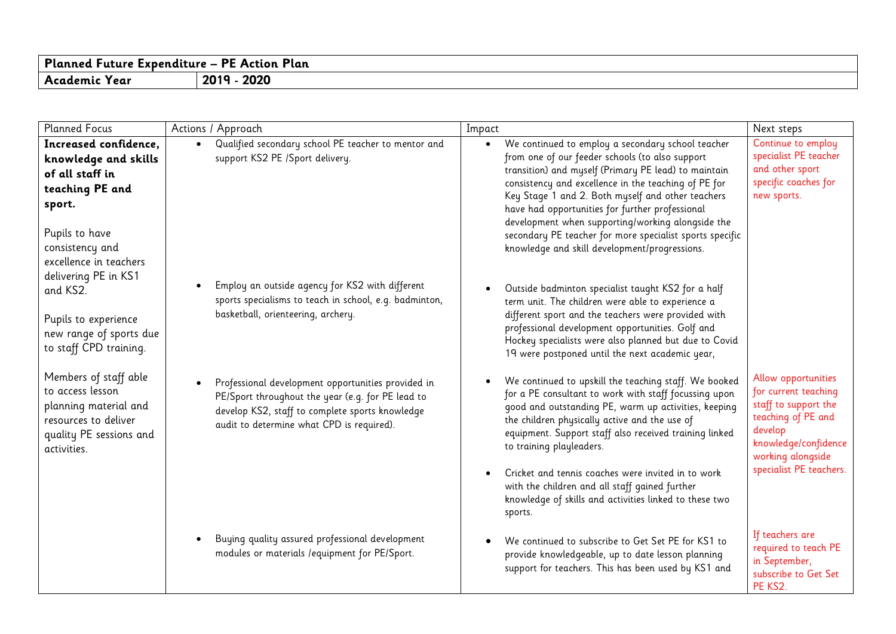| Planned         | Plan   |
|-----------------|--------|
| - Expenditure – | PF.    |
| uture."         | Action |
| Academic        | 2020   |
| rear)           | 201c   |

| <b>Planned Focus</b>                                                                                                                                         | Actions / Approach                                                                                                                                                                                      | Impact                                                                                                                                                                                                                                                                                                                                                                                                                                                                                                      | Next steps                                                                                                                                                                   |
|--------------------------------------------------------------------------------------------------------------------------------------------------------------|---------------------------------------------------------------------------------------------------------------------------------------------------------------------------------------------------------|-------------------------------------------------------------------------------------------------------------------------------------------------------------------------------------------------------------------------------------------------------------------------------------------------------------------------------------------------------------------------------------------------------------------------------------------------------------------------------------------------------------|------------------------------------------------------------------------------------------------------------------------------------------------------------------------------|
| Increased confidence,<br>knowledge and skills<br>of all staff in<br>teaching PE and<br>sport.<br>Pupils to have<br>consistency and<br>excellence in teachers | Qualified secondary school PE teacher to mentor and<br>support KS2 PE /Sport delivery.                                                                                                                  | We continued to employ a secondary school teacher<br>$\bullet$<br>from one of our feeder schools (to also support<br>transition) and myself (Primary PE lead) to maintain<br>consistency and excellence in the teaching of PE for<br>Key Stage 1 and 2. Both myself and other teachers<br>have had opportunities for further professional<br>development when supporting/working alongside the<br>secondary PE teacher for more specialist sports specific<br>knowledge and skill development/progressions. | Continue to employ<br>specialist PE teacher<br>and other sport<br>specific coaches for<br>new sports.                                                                        |
| delivering PE in KS1<br>and KS2.<br>Pupils to experience<br>new range of sports due<br>to staff CPD training.                                                | Employ an outside agency for KS2 with different<br>sports specialisms to teach in school, e.g. badminton,<br>basketball, orienteering, archery.                                                         | Outside badminton specialist taught KS2 for a half<br>term unit. The children were able to experience a<br>different sport and the teachers were provided with<br>professional development opportunities. Golf and<br>Hockey specialists were also planned but due to Covid<br>19 were postponed until the next academic year,                                                                                                                                                                              |                                                                                                                                                                              |
| Members of staff able<br>to access lesson<br>planning material and<br>resources to deliver<br>quality PE sessions and<br>activities.                         | Professional development opportunities provided in<br>PE/Sport throughout the year (e.g. for PE lead to<br>develop KS2, staff to complete sports knowledge<br>audit to determine what CPD is required). | We continued to upskill the teaching staff. We booked<br>for a PE consultant to work with staff focussing upon<br>good and outstanding PE, warm up activities, keeping<br>the children physically active and the use of<br>equipment. Support staff also received training linked<br>to training playleaders.<br>Cricket and tennis coaches were invited in to work<br>with the children and all staff gained further<br>knowledge of skills and activities linked to these two<br>sports.                  | Allow opportunities<br>for current teaching<br>staff to support the<br>teaching of PE and<br>develop<br>knowledge/confidence<br>working alongside<br>specialist PE teachers. |
|                                                                                                                                                              | Buying quality assured professional development<br>modules or materials / equipment for PE/Sport.                                                                                                       | We continued to subscribe to Get Set PE for KS1 to<br>provide knowledgeable, up to date lesson planning<br>support for teachers. This has been used by KS1 and                                                                                                                                                                                                                                                                                                                                              | If teachers are<br>required to teach PE<br>in September,<br>subscribe to Get Set<br>PE KS2.                                                                                  |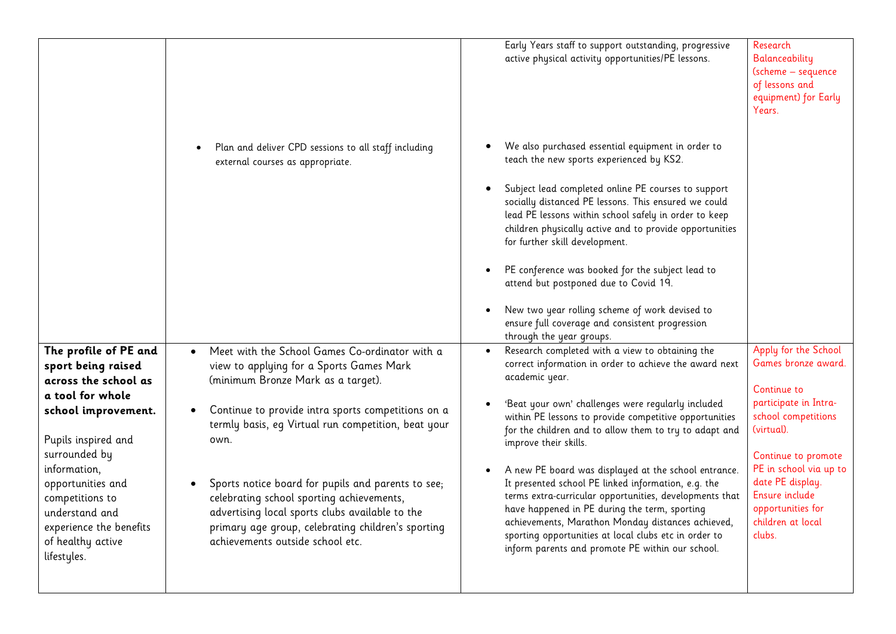|                                                                                                                                                                                                                                                                                                 |                                                                                                                                                                                                                                                                                                                                                                                                                                                                                                                    | Early Years staff to support outstanding, progressive<br>active physical activity opportunities/PE lessons.                                                                                                                                                                                                                                                                                                                                                                                                                                                                                                                                                                                                                                             | Research<br>Balanceability<br>(scheme - sequence<br>of lessons and<br>equipment) for Early<br>Years.                                                                                                                                                                |
|-------------------------------------------------------------------------------------------------------------------------------------------------------------------------------------------------------------------------------------------------------------------------------------------------|--------------------------------------------------------------------------------------------------------------------------------------------------------------------------------------------------------------------------------------------------------------------------------------------------------------------------------------------------------------------------------------------------------------------------------------------------------------------------------------------------------------------|---------------------------------------------------------------------------------------------------------------------------------------------------------------------------------------------------------------------------------------------------------------------------------------------------------------------------------------------------------------------------------------------------------------------------------------------------------------------------------------------------------------------------------------------------------------------------------------------------------------------------------------------------------------------------------------------------------------------------------------------------------|---------------------------------------------------------------------------------------------------------------------------------------------------------------------------------------------------------------------------------------------------------------------|
|                                                                                                                                                                                                                                                                                                 | Plan and deliver CPD sessions to all staff including<br>external courses as appropriate.                                                                                                                                                                                                                                                                                                                                                                                                                           | We also purchased essential equipment in order to<br>teach the new sports experienced by KS2.<br>Subject lead completed online PE courses to support<br>socially distanced PE lessons. This ensured we could<br>lead PE lessons within school safely in order to keep<br>children physically active and to provide opportunities<br>for further skill development.<br>PE conference was booked for the subject lead to<br>attend but postponed due to Covid 19.<br>New two year rolling scheme of work devised to<br>ensure full coverage and consistent progression                                                                                                                                                                                    |                                                                                                                                                                                                                                                                     |
| The profile of PE and<br>sport being raised<br>across the school as<br>a tool for whole<br>school improvement.<br>Pupils inspired and<br>surrounded by<br>information,<br>opportunities and<br>competitions to<br>understand and<br>experience the benefits<br>of healthy active<br>lifestyles. | Meet with the School Games Co-ordinator with a<br>view to applying for a Sports Games Mark<br>(minimum Bronze Mark as a target).<br>Continue to provide intra sports competitions on a<br>$\bullet$<br>termly basis, eq Virtual run competition, beat your<br>own.<br>Sports notice board for pupils and parents to see;<br>celebrating school sporting achievements,<br>advertising local sports clubs available to the<br>primary age group, celebrating children's sporting<br>achievements outside school etc. | through the year groups.<br>Research completed with a view to obtaining the<br>correct information in order to achieve the award next<br>academic year.<br>'Beat your own' challenges were regularly included<br>within PE lessons to provide competitive opportunities<br>for the children and to allow them to try to adapt and<br>improve their skills.<br>A new PE board was displayed at the school entrance.<br>It presented school PE linked information, e.g. the<br>terms extra-curricular opportunities, developments that<br>have happened in PE during the term, sporting<br>achievements, Marathon Monday distances achieved,<br>sporting opportunities at local clubs etc in order to<br>inform parents and promote PE within our school. | Apply for the School<br>Games bronze award.<br>Continue to<br>participate in Intra-<br>school competitions<br>(virtual).<br>Continue to promote<br>PE in school via up to<br>date PE display.<br>Ensure include<br>opportunities for<br>children at local<br>clubs. |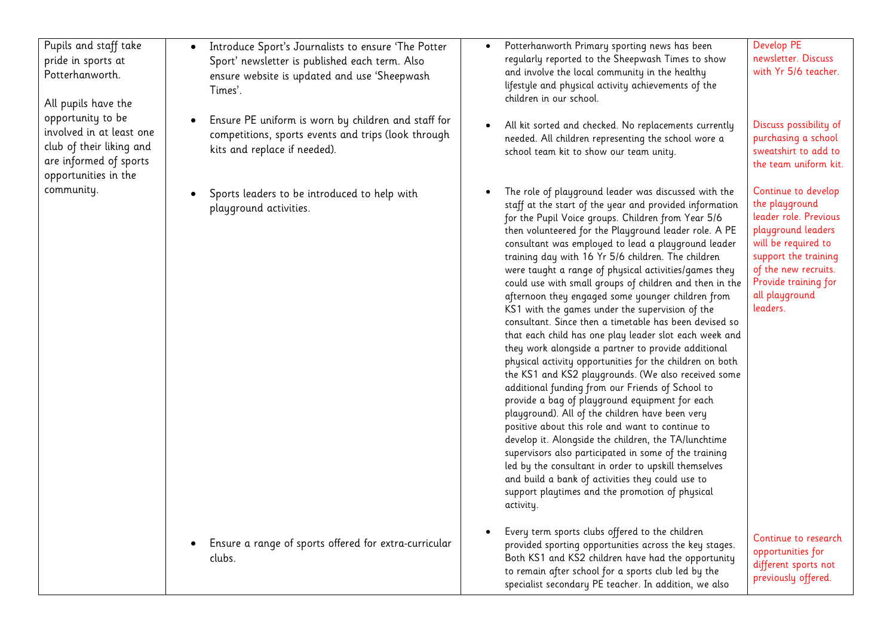| Pupils and staff take<br>pride in sports at<br>Potterhanworth.<br>All pupils have the                                       | Introduce Sport's Journalists to ensure 'The Potter<br>Sport' newsletter is published each term. Also<br>ensure website is updated and use 'Sheepwash<br>Times'. | Potterhanworth Primary sporting news has been<br>regularly reported to the Sheepwash Times to show<br>and involve the local community in the healthy<br>lifestyle and physical activity achievements of the<br>children in our school.                                                                                                                                                                                                                                                                                                                                                                                                                                                                                                                                                                                                                                                                                                                                                                                                                                                                                                                                                                                                                                                                                                                                          | Develop PE<br>newsletter. Discuss<br>with Yr 5/6 teacher.                                                                                                                                                         |
|-----------------------------------------------------------------------------------------------------------------------------|------------------------------------------------------------------------------------------------------------------------------------------------------------------|---------------------------------------------------------------------------------------------------------------------------------------------------------------------------------------------------------------------------------------------------------------------------------------------------------------------------------------------------------------------------------------------------------------------------------------------------------------------------------------------------------------------------------------------------------------------------------------------------------------------------------------------------------------------------------------------------------------------------------------------------------------------------------------------------------------------------------------------------------------------------------------------------------------------------------------------------------------------------------------------------------------------------------------------------------------------------------------------------------------------------------------------------------------------------------------------------------------------------------------------------------------------------------------------------------------------------------------------------------------------------------|-------------------------------------------------------------------------------------------------------------------------------------------------------------------------------------------------------------------|
| opportunity to be<br>involved in at least one<br>club of their liking and<br>are informed of sports<br>opportunities in the | Ensure PE uniform is worn by children and staff for<br>competitions, sports events and trips (look through<br>kits and replace if needed).                       | All kit sorted and checked. No replacements currently<br>needed. All children representing the school wore a<br>school team kit to show our team unity.                                                                                                                                                                                                                                                                                                                                                                                                                                                                                                                                                                                                                                                                                                                                                                                                                                                                                                                                                                                                                                                                                                                                                                                                                         | Discuss possibility of<br>purchasing a school<br>sweatshirt to add to<br>the team uniform kit.                                                                                                                    |
| community.                                                                                                                  | Sports leaders to be introduced to help with<br>playground activities.                                                                                           | The role of playground leader was discussed with the<br>staff at the start of the year and provided information<br>for the Pupil Voice groups. Children from Year 5/6<br>then volunteered for the Playground leader role. A PE<br>consultant was employed to lead a playground leader<br>training day with 16 Yr 5/6 children. The children<br>were taught a range of physical activities/games they<br>could use with small groups of children and then in the<br>afternoon they engaged some younger children from<br>KS1 with the games under the supervision of the<br>consultant. Since then a timetable has been devised so<br>that each child has one play leader slot each week and<br>they work alongside a partner to provide additional<br>physical activity opportunities for the children on both<br>the KS1 and KS2 playgrounds. (We also received some<br>additional funding from our Friends of School to<br>provide a bag of playground equipment for each<br>playground). All of the children have been very<br>positive about this role and want to continue to<br>develop it. Alongside the children, the TA/lunchtime<br>supervisors also participated in some of the training<br>led by the consultant in order to upskill themselves<br>and build a bank of activities they could use to<br>support playtimes and the promotion of physical<br>activity. | Continue to develop<br>the playground<br>leader role. Previous<br>playground leaders<br>will be required to<br>support the training<br>of the new recruits.<br>Provide training for<br>all playground<br>leaders. |
|                                                                                                                             | Ensure a range of sports offered for extra-curricular<br>clubs.                                                                                                  | Every term sports clubs offered to the children<br>provided sporting opportunities across the key stages.<br>Both KS1 and KS2 children have had the opportunity<br>to remain after school for a sports club led by the<br>specialist secondary PE teacher. In addition, we also                                                                                                                                                                                                                                                                                                                                                                                                                                                                                                                                                                                                                                                                                                                                                                                                                                                                                                                                                                                                                                                                                                 | Continue to research<br>opportunities for<br>different sports not<br>previously offered.                                                                                                                          |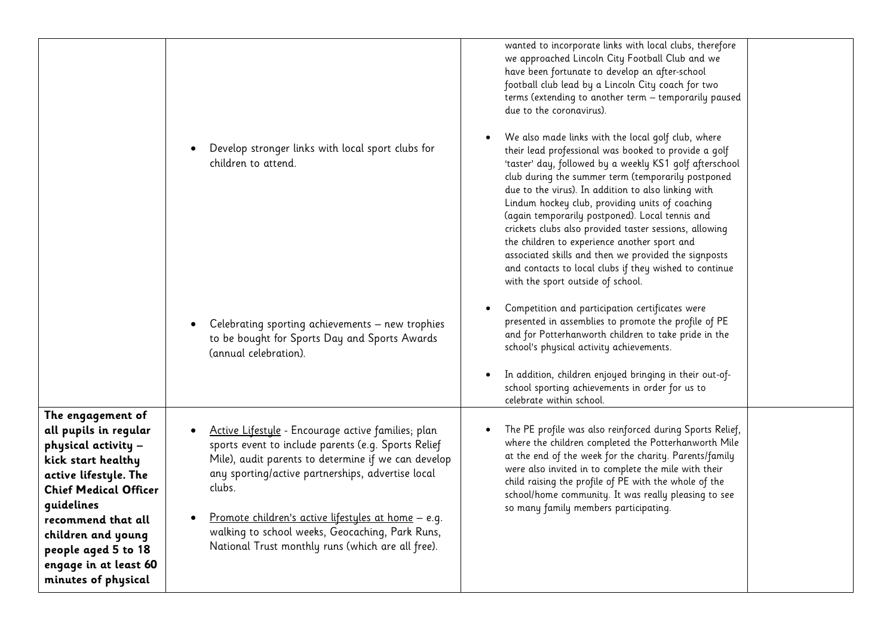|                                                                                                                                                                                                                                                                                   | Develop stronger links with local sport clubs for<br>children to attend.                                                                                                                                                                                                                                                                                                                       | wanted to incorporate links with local clubs, therefore<br>we approached Lincoln City Football Club and we<br>have been fortunate to develop an after-school<br>football club lead by a Lincoln City coach for two<br>terms (extending to another term - temporarily paused<br>due to the coronavirus).<br>We also made links with the local golf club, where<br>their lead professional was booked to provide a golf<br>'taster' day, followed by a weekly KS1 golf afterschool<br>club during the summer term (temporarily postponed<br>due to the virus). In addition to also linking with<br>Lindum hockey club, providing units of coaching<br>(again temporarily postponed). Local tennis and<br>crickets clubs also provided taster sessions, allowing<br>the children to experience another sport and<br>associated skills and then we provided the signposts<br>and contacts to local clubs if they wished to continue<br>with the sport outside of school. |
|-----------------------------------------------------------------------------------------------------------------------------------------------------------------------------------------------------------------------------------------------------------------------------------|------------------------------------------------------------------------------------------------------------------------------------------------------------------------------------------------------------------------------------------------------------------------------------------------------------------------------------------------------------------------------------------------|----------------------------------------------------------------------------------------------------------------------------------------------------------------------------------------------------------------------------------------------------------------------------------------------------------------------------------------------------------------------------------------------------------------------------------------------------------------------------------------------------------------------------------------------------------------------------------------------------------------------------------------------------------------------------------------------------------------------------------------------------------------------------------------------------------------------------------------------------------------------------------------------------------------------------------------------------------------------|
|                                                                                                                                                                                                                                                                                   | Celebrating sporting achievements - new trophies<br>to be bought for Sports Day and Sports Awards<br>(annual celebration).                                                                                                                                                                                                                                                                     | Competition and participation certificates were<br>presented in assemblies to promote the profile of PE<br>and for Potterhanworth children to take pride in the<br>school's physical activity achievements.<br>In addition, children enjoyed bringing in their out-of-<br>school sporting achievements in order for us to<br>celebrate within school.                                                                                                                                                                                                                                                                                                                                                                                                                                                                                                                                                                                                                |
| The engagement of<br>all pupils in regular<br>physical activity -<br>kick start healthy<br>active lifestyle. The<br><b>Chief Medical Officer</b><br>quidelines<br>recommend that all<br>children and young<br>people aged 5 to 18<br>engage in at least 60<br>minutes of physical | Active Lifestyle - Encourage active families; plan<br>sports event to include parents (e.g. Sports Relief<br>Mile), audit parents to determine if we can develop<br>any sporting/active partnerships, advertise local<br>clubs.<br>Promote children's active lifestyles at home - e.g.<br>walking to school weeks, Geocaching, Park Runs,<br>National Trust monthly runs (which are all free). | The PE profile was also reinforced during Sports Relief,<br>where the children completed the Potterhanworth Mile<br>at the end of the week for the charity. Parents/family<br>were also invited in to complete the mile with their<br>child raising the profile of PE with the whole of the<br>school/home community. It was really pleasing to see<br>so many family members participating.                                                                                                                                                                                                                                                                                                                                                                                                                                                                                                                                                                         |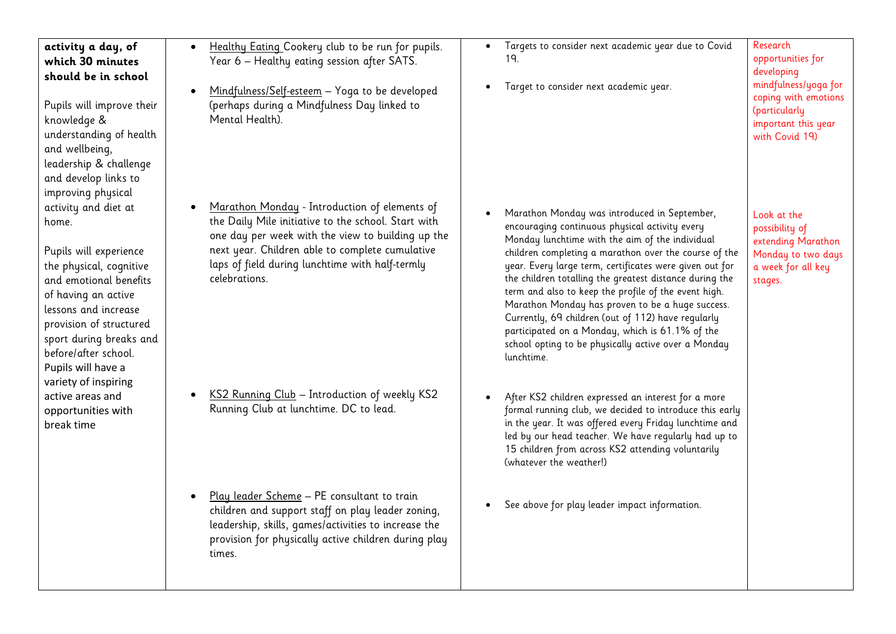| activity a day, of<br>which 30 minutes<br>should be in school<br>Pupils will improve their<br>knowledge &<br>understanding of health<br>and wellbeing,<br>leadership & challenge                                                                                                                              | Healthy Eating Cookery club to be run for pupils.<br>$\bullet$<br>Year 6 – Healthy eating session after SATS.<br>Mindfulness/Self-esteem - Yoga to be developed<br>(perhaps during a Mindfulness Day linked to<br>Mental Health).                                                | Targets to consider next academic year due to Covid<br>19.<br>Target to consider next academic year.                                                                                                                                                                                                                                                                                                                                                                                                                                                                                                                       | Research<br>opportunities for<br>developing<br>mindfulness/yoga for<br>coping with emotions<br>(particularly<br>important this year<br>with Covid 19) |
|---------------------------------------------------------------------------------------------------------------------------------------------------------------------------------------------------------------------------------------------------------------------------------------------------------------|----------------------------------------------------------------------------------------------------------------------------------------------------------------------------------------------------------------------------------------------------------------------------------|----------------------------------------------------------------------------------------------------------------------------------------------------------------------------------------------------------------------------------------------------------------------------------------------------------------------------------------------------------------------------------------------------------------------------------------------------------------------------------------------------------------------------------------------------------------------------------------------------------------------------|-------------------------------------------------------------------------------------------------------------------------------------------------------|
| and develop links to<br>improving physical<br>activity and diet at<br>home.<br>Pupils will experience<br>the physical, cognitive<br>and emotional benefits<br>of having an active<br>lessons and increase<br>provision of structured<br>sport during breaks and<br>before/after school.<br>Pupils will have a | Marathon Monday - Introduction of elements of<br>the Daily Mile initiative to the school. Start with<br>one day per week with the view to building up the<br>next year. Children able to complete cumulative<br>laps of field during lunchtime with half-termly<br>celebrations. | Marathon Monday was introduced in September,<br>encouraging continuous physical activity every<br>Monday lunchtime with the aim of the individual<br>children completing a marathon over the course of the<br>year. Every large term, certificates were given out for<br>the children totalling the greatest distance during the<br>term and also to keep the profile of the event high.<br>Marathon Monday has proven to be a huge success.<br>Currently, 69 children (out of 112) have regularly<br>participated on a Monday, which is 61.1% of the<br>school opting to be physically active over a Monday<br>lunchtime. | Look at the<br>possibility of<br>extending Marathon<br>Monday to two days<br>a week for all key<br>stages.                                            |
| variety of inspiring<br>active areas and<br>opportunities with<br>break time                                                                                                                                                                                                                                  | KS2 Running Club - Introduction of weekly KS2<br>Running Club at lunchtime. DC to lead.                                                                                                                                                                                          | After KS2 children expressed an interest for a more<br>formal running club, we decided to introduce this early<br>in the year. It was offered every Friday lunchtime and<br>led by our head teacher. We have regularly had up to<br>15 children from across KS2 attending voluntarily<br>(whatever the weather!)                                                                                                                                                                                                                                                                                                           |                                                                                                                                                       |
|                                                                                                                                                                                                                                                                                                               | Play leader Scheme - PE consultant to train<br>children and support staff on play leader zoning,<br>leadership, skills, games/activities to increase the<br>provision for physically active children during play<br>times.                                                       | See above for play leader impact information.                                                                                                                                                                                                                                                                                                                                                                                                                                                                                                                                                                              |                                                                                                                                                       |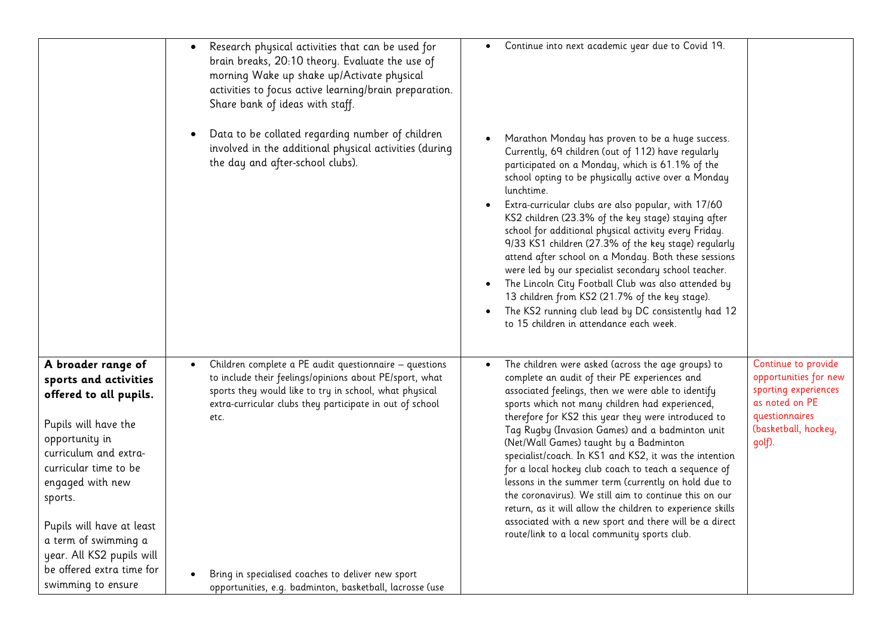| Research physical activities that can be used for<br>٠<br>brain breaks, 20:10 theory. Evaluate the use of<br>morning Wake up shake up/Activate physical<br>activities to focus active learning/brain preparation.<br>Share bank of ideas with staff.<br>Data to be collated regarding number of children<br>involved in the additional physical activities (during<br>the day and after-school clubs).                                                                                                                                                                                                                                                                                                                 | Continue into next academic year due to Covid 19.<br>Marathon Monday has proven to be a huge success.<br>Currently, 69 children (out of 112) have regularly<br>participated on a Monday, which is 61.1% of the<br>school opting to be physically active over a Monday<br>lunchtime.<br>Extra-curricular clubs are also popular, with 17/60<br>KS2 children (23.3% of the key stage) staying after<br>school for additional physical activity every Friday.<br>9/33 KS1 children (27.3% of the key stage) regularly<br>attend after school on a Monday. Both these sessions<br>were led by our specialist secondary school teacher.<br>The Lincoln City Football Club was also attended by<br>13 children from KS2 (21.7% of the key stage).<br>The KS2 running club lead by DC consistently had 12<br>to 15 children in attendance each week.                                                                              |
|------------------------------------------------------------------------------------------------------------------------------------------------------------------------------------------------------------------------------------------------------------------------------------------------------------------------------------------------------------------------------------------------------------------------------------------------------------------------------------------------------------------------------------------------------------------------------------------------------------------------------------------------------------------------------------------------------------------------|----------------------------------------------------------------------------------------------------------------------------------------------------------------------------------------------------------------------------------------------------------------------------------------------------------------------------------------------------------------------------------------------------------------------------------------------------------------------------------------------------------------------------------------------------------------------------------------------------------------------------------------------------------------------------------------------------------------------------------------------------------------------------------------------------------------------------------------------------------------------------------------------------------------------------|
| Children complete a PE audit questionnaire - questions<br>A broader range of<br>$\bullet$<br>to include their feelings/opinions about PE/sport, what<br>sports and activities<br>sports they would like to try in school, what physical<br>offered to all pupils.<br>extra-curricular clubs they participate in out of school<br>etc.<br>Pupils will have the<br>opportunity in<br>curriculum and extra-<br>curricular time to be<br>engaged with new<br>sports.<br>Pupils will have at least<br>a term of swimming a<br>year. All KS2 pupils will<br>be offered extra time for<br>Bring in specialised coaches to deliver new sport<br>swimming to ensure<br>opportunities, e.g. badminton, basketball, lacrosse (use | Continue to provide<br>The children were asked (across the age groups) to<br>opportunities for new<br>complete an audit of their PE experiences and<br>sporting experiences<br>associated feelings, then we were able to identify<br>as noted on PE<br>sports which not many children had experienced,<br>questionnaires<br>therefore for KS2 this year they were introduced to<br>(basketball, hockey,<br>Tag Rugby (Invasion Games) and a badminton unit<br>(Net/Wall Games) taught by a Badminton<br>golf).<br>specialist/coach. In KS1 and KS2, it was the intention<br>for a local hockey club coach to teach a sequence of<br>lessons in the summer term (currently on hold due to<br>the coronavirus). We still aim to continue this on our<br>return, as it will allow the children to experience skills<br>associated with a new sport and there will be a direct<br>route/link to a local community sports club. |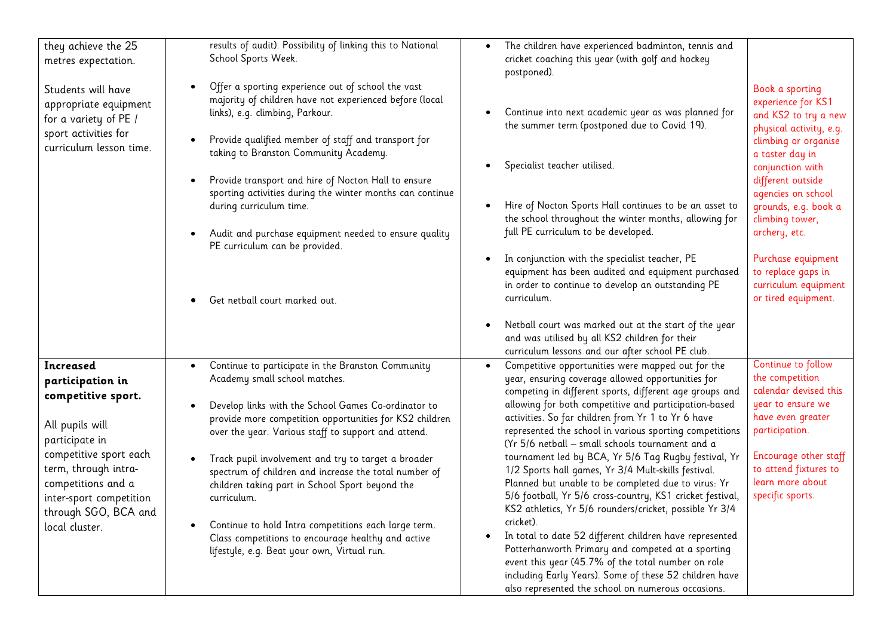| they achieve the 25<br>metres expectation.                                                                                                                                                                                            | results of audit). Possibility of linking this to National<br>School Sports Week.                                                                                                                                                                                                                                                                                                                                                                                                                                                                                                                                       | The children have experienced badminton, tennis and<br>cricket coaching this year (with golf and hockey<br>postponed).                                                                                                                                                                                                                                                                                                                                                                                                                                                                                                                                                                                                                                                                                                                                                                                                                                                                                        |                                                                                                                                                                                                                                                                                                                                                           |
|---------------------------------------------------------------------------------------------------------------------------------------------------------------------------------------------------------------------------------------|-------------------------------------------------------------------------------------------------------------------------------------------------------------------------------------------------------------------------------------------------------------------------------------------------------------------------------------------------------------------------------------------------------------------------------------------------------------------------------------------------------------------------------------------------------------------------------------------------------------------------|---------------------------------------------------------------------------------------------------------------------------------------------------------------------------------------------------------------------------------------------------------------------------------------------------------------------------------------------------------------------------------------------------------------------------------------------------------------------------------------------------------------------------------------------------------------------------------------------------------------------------------------------------------------------------------------------------------------------------------------------------------------------------------------------------------------------------------------------------------------------------------------------------------------------------------------------------------------------------------------------------------------|-----------------------------------------------------------------------------------------------------------------------------------------------------------------------------------------------------------------------------------------------------------------------------------------------------------------------------------------------------------|
| Students will have<br>appropriate equipment<br>for a variety of PE /<br>sport activities for<br>curriculum lesson time.                                                                                                               | Offer a sporting experience out of school the vast<br>majority of children have not experienced before (local<br>links), e.g. climbing, Parkour.<br>Provide qualified member of staff and transport for<br>taking to Branston Community Academy.<br>Provide transport and hire of Nocton Hall to ensure<br>sporting activities during the winter months can continue<br>during curriculum time.<br>Audit and purchase equipment needed to ensure quality<br>PE curriculum can be provided.<br>Get netball court marked out.                                                                                             | Continue into next academic year as was planned for<br>the summer term (postponed due to Covid 19).<br>Specialist teacher utilised.<br>٠<br>Hire of Nocton Sports Hall continues to be an asset to<br>the school throughout the winter months, allowing for<br>full PE curriculum to be developed.<br>In conjunction with the specialist teacher, PE<br>equipment has been audited and equipment purchased<br>in order to continue to develop an outstanding PE<br>curriculum.                                                                                                                                                                                                                                                                                                                                                                                                                                                                                                                                | Book a sporting<br>experience for KS1<br>and KS2 to try a new<br>physical activity, e.g.<br>climbing or organise<br>a taster day in<br>conjunction with<br>different outside<br>agencies on school<br>grounds, e.g. book a<br>climbing tower,<br>archery, etc.<br>Purchase equipment<br>to replace gaps in<br>curriculum equipment<br>or tired equipment. |
|                                                                                                                                                                                                                                       |                                                                                                                                                                                                                                                                                                                                                                                                                                                                                                                                                                                                                         | Netball court was marked out at the start of the year<br>and was utilised by all KS2 children for their<br>curriculum lessons and our after school PE club.                                                                                                                                                                                                                                                                                                                                                                                                                                                                                                                                                                                                                                                                                                                                                                                                                                                   |                                                                                                                                                                                                                                                                                                                                                           |
| Increased<br>participation in<br>competitive sport.<br>All pupils will<br>participate in<br>competitive sport each<br>term, through intra-<br>competitions and a<br>inter-sport competition<br>through SGO, BCA and<br>local cluster. | Continue to participate in the Branston Community<br>$\bullet$<br>Academy small school matches.<br>Develop links with the School Games Co-ordinator to<br>provide more competition opportunities for KS2 children<br>over the year. Various staff to support and attend.<br>Track pupil involvement and try to target a broader<br>spectrum of children and increase the total number of<br>children taking part in School Sport beyond the<br>curriculum.<br>Continue to hold Intra competitions each large term.<br>Class competitions to encourage healthy and active<br>lifestyle, e.g. Beat your own, Virtual run. | Competitive opportunities were mapped out for the<br>$\bullet$<br>year, ensuring coverage allowed opportunities for<br>competing in different sports, different age groups and<br>allowing for both competitive and participation-based<br>activities. So far children from Yr 1 to Yr 6 have<br>represented the school in various sporting competitions<br>(Yr 5/6 netball - small schools tournament and a<br>tournament led by BCA, Yr 5/6 Tag Rugby festival, Yr<br>1/2 Sports hall games, Yr 3/4 Mult-skills festival.<br>Planned but unable to be completed due to virus: Yr<br>5/6 football, Yr 5/6 cross-country, KS1 cricket festival,<br>KS2 athletics, Yr 5/6 rounders/cricket, possible Yr 3/4<br>cricket).<br>In total to date 52 different children have represented<br>Potterhanworth Primary and competed at a sporting<br>event this year (45.7% of the total number on role<br>including Early Years). Some of these 52 children have<br>also represented the school on numerous occasions. | Continue to follow<br>the competition<br>calendar devised this<br>year to ensure we<br>have even greater<br>participation.<br>Encourage other staff<br>to attend fixtures to<br>learn more about<br>specific sports.                                                                                                                                      |